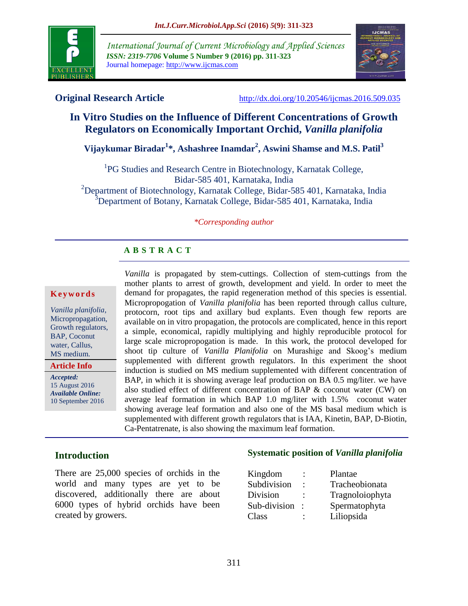

*International Journal of Current Microbiology and Applied Sciences ISSN: 2319-7706* **Volume 5 Number 9 (2016) pp. 311-323** Journal homepage: http://www.ijcmas.com



**Original Research Article** <http://dx.doi.org/10.20546/ijcmas.2016.509.035>

# **In Vitro Studies on the Influence of Different Concentrations of Growth Regulators on Economically Important Orchid,** *Vanilla planifolia*

**Vijaykumar Biradar<sup>1</sup> \*, Ashashree Inamdar<sup>2</sup> , Aswini Shamse and M.S. Patil<sup>3</sup>**

<sup>1</sup>PG Studies and Research Centre in Biotechnology, Karnatak College, Bidar-585 401, Karnataka, India <sup>2</sup>Department of Biotechnology, Karnatak College, Bidar-585 401, Karnataka, India <sup>3</sup>Department of Botany, Karnatak College, Bidar-585 401, Karnataka, India

#### *\*Corresponding author*

### **A B S T R A C T**

#### **K e y w o r d s**

*Vanilla planifolia*, Micropropagation, Growth regulators, BAP, Coconut water, Callus, MS medium.

**Article Info**

*Accepted:*  15 August 2016 *Available Online:* 10 September 2016 *Vanilla* is propagated by stem-cuttings. Collection of stem-cuttings from the mother plants to arrest of growth, development and yield. In order to meet the demand for propagates, the rapid regeneration method of this species is essential. Micropropogation of *Vanilla planifolia* has been reported through callus culture, protocorn, root tips and axillary bud explants. Even though few reports are available on in vitro propagation, the protocols are complicated, hence in this report a simple, economical, rapidly multiplying and highly reproducible protocol for large scale micropropogation is made. In this work, the protocol developed for shoot tip culture of *Vanilla Planifolia* on Murashige and Skoog"s medium supplemented with different growth regulators. In this experiment the shoot induction is studied on MS medium supplemented with different concentration of BAP, in which it is showing average leaf production on BA 0.5 mg/liter. we have also studied effect of different concentration of BAP & coconut water (CW) on average leaf formation in which BAP 1.0 mg/liter with 1.5% coconut water showing average leaf formation and also one of the MS basal medium which is supplemented with different growth regulators that is IAA, Kinetin, BAP, D-Biotin, Ca-Pentatrenate, is also showing the maximum leaf formation.

### **Introduction**

There are 25,000 species of orchids in the world and many types are yet to be discovered, additionally there are about 6000 types of hybrid orchids have been created by growers.

#### **Systematic position of** *Vanilla planifolia*

| Kingdom      | $\ddot{\phantom{a}}$ | Plantae         |
|--------------|----------------------|-----------------|
| Subdivision  | ٠                    | Tracheobionata  |
| Division     |                      | Tragnoloiophyta |
| Sub-division |                      | Spermatophyta   |
| Class        |                      | Liliopsida      |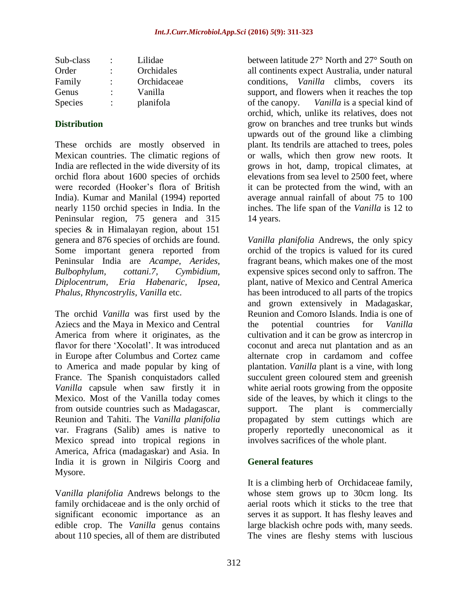| Sub-class      |   | Lilidae     |
|----------------|---|-------------|
| Order          | ٠ | Orchidales  |
| Family         |   | Orchidaceae |
| Genus          | ٠ | Vanilla     |
| <b>Species</b> | ٠ | planifola   |

#### **Distribution**

These orchids are mostly observed in Mexican countries. The climatic regions of India are reflected in the wide diversity of its orchid flora about 1600 species of orchids were recorded (Hooker"s flora of British India). Kumar and Manilal (1994) reported nearly 1150 orchid species in India. In the Peninsular region, 75 genera and 315 species & in Himalayan region, about 151 genera and 876 species of orchids are found. Some important genera reported from Peninsular India are *Acampe, Aerides, Bulbophylum, cottani.7, Cymbidium, Diplocentrum, Eria Habenaric, Ipsea, Phalus, Rhyncostrylis, Vanilla* etc.

The orchid *Vanilla* was first used by the Aziecs and the Maya in Mexico and Central America from where it originates, as the flavor for there 'Xocolatl'. It was introduced in Europe after Columbus and Cortez came to America and made popular by king of France. The Spanish conquistadors called *Vanilla* capsule when saw firstly it in Mexico. Most of the Vanilla today comes from outside countries such as Madagascar, Reunion and Tahiti. The *Vanilla planifolia* var. Fragrans (Salib) ames is native to Mexico spread into tropical regions in America, Africa (madagaskar) and Asia. In India it is grown in Nilgiris Coorg and Mysore.

V*anilla planifolia* Andrews belongs to the family orchidaceae and is the only orchid of significant economic importance as an edible crop. The *Vanilla* genus contains about 110 species, all of them are distributed

between latitude 27° North and 27° South on all continents expect Australia, under natural conditions, *Vanilla* climbs, covers its support, and flowers when it reaches the top of the canopy. *Vanilla* is a special kind of orchid, which, unlike its relatives, does not grow on branches and tree trunks but winds upwards out of the ground like a climbing plant. Its tendrils are attached to trees, poles or walls, which then grow new roots. It grows in hot, damp, tropical climates, at elevations from sea level to 2500 feet, where it can be protected from the wind, with an average annual rainfall of about 75 to 100 inches. The life span of the *Vanilla* is 12 to 14 years.

*Vanilla planifolia* Andrews, the only spicy orchid of the tropics is valued for its cured fragrant beans, which makes one of the most expensive spices second only to saffron. The plant, native of Mexico and Central America has been introduced to all parts of the tropics and grown extensively in Madagaskar, Reunion and Comoro Islands. India is one of the potential countries for *Vanilla* cultivation and it can be grow as intercrop in coconut and areca nut plantation and as an alternate crop in cardamom and coffee plantation. *Vanilla* plant is a vine, with long succulent green coloured stem and greenish white aerial roots growing from the opposite side of the leaves, by which it clings to the support. The plant is commercially propagated by stem cuttings which are properly reportedly uneconomical as it involves sacrifices of the whole plant.

### **General features**

It is a climbing herb of Orchidaceae family, whose stem grows up to 30cm long. Its aerial roots which it sticks to the tree that serves it as support. It has fleshy leaves and large blackish ochre pods with, many seeds. The vines are fleshy stems with luscious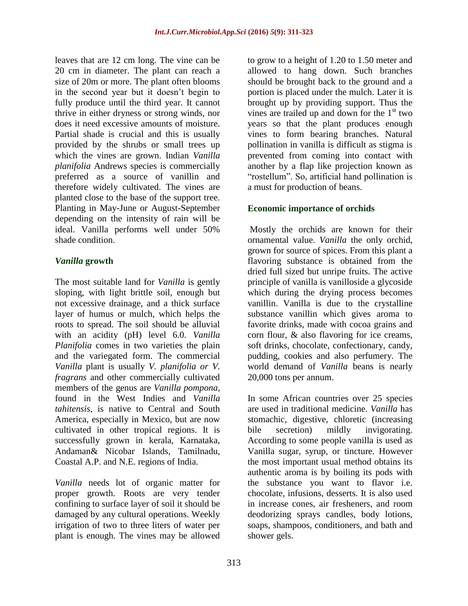leaves that are 12 cm long. The vine can be 20 cm in diameter. The plant can reach a size of 20m or more. The plant often blooms in the second year but it doesn"t begin to fully produce until the third year. It cannot thrive in either dryness or strong winds, nor does it need excessive amounts of moisture. Partial shade is crucial and this is usually provided by the shrubs or small trees up which the vines are grown. Indian *Vanilla planifolia* Andrews species is commercially preferred as a source of vanillin and therefore widely cultivated. The vines are planted close to the base of the support tree. Planting in May-June or August-September depending on the intensity of rain will be ideal. Vanilla performs well under 50% shade condition.

### *Vanilla* **growth**

The most suitable land for *Vanilla* is gently sloping, with light brittle soil, enough but not excessive drainage, and a thick surface layer of humus or mulch, which helps the roots to spread. The soil should be alluvial with an acidity (pH) level 6.0. *Vanilla Planifolia* comes in two varieties the plain and the variegated form. The commercial *Vanilla* plant is usually *V. planifolia or V. fragrans* and other commercially cultivated members of the genus are *Vanilla pompona,* found in the West Indies and *Vanilla tahitensis,* is native to Central and South America, especially in Mexico, but are now cultivated in other tropical regions. It is successfully grown in kerala, Karnataka, Andaman& Nicobar Islands, Tamilnadu, Coastal A.P. and N.E. regions of India.

*Vanilla* needs lot of organic matter for proper growth. Roots are very tender confining to surface layer of soil it should be damaged by any cultural operations. Weekly irrigation of two to three liters of water per plant is enough. The vines may be allowed

to grow to a height of 1.20 to 1.50 meter and allowed to hang down. Such branches should be brought back to the ground and a portion is placed under the mulch. Later it is brought up by providing support. Thus the vines are trailed up and down for the  $1<sup>st</sup>$  two years so that the plant produces enough vines to form bearing branches. Natural pollination in vanilla is difficult as stigma is prevented from coming into contact with another by a flap like projection known as "rostellum". So, artificial hand pollination is a must for production of beans.

### **Economic importance of orchids**

Mostly the orchids are known for their ornamental value. *Vanilla* the only orchid, grown for source of spices. From this plant a flavoring substance is obtained from the dried full sized but unripe fruits. The active principle of vanilla is vanilloside a glycoside which during the drying process becomes vanillin. Vanilla is due to the crystalline substance vanillin which gives aroma to favorite drinks, made with cocoa grains and corn flour, & also flavoring for ice creams, soft drinks, chocolate, confectionary, candy, pudding, cookies and also perfumery. The world demand of *Vanilla* beans is nearly 20,000 tons per annum.

In some African countries over 25 species are used in traditional medicine. *Vanilla* has stomachic, digestive, chloretic (increasing bile secretion) mildly invigorating. According to some people vanilla is used as Vanilla sugar, syrup, or tincture. However the most important usual method obtains its authentic aroma is by boiling its pods with the substance you want to flavor i.e. chocolate, infusions, desserts. It is also used in increase cones, air fresheners, and room deodorizing sprays candles, body lotions, soaps, shampoos, conditioners, and bath and shower gels.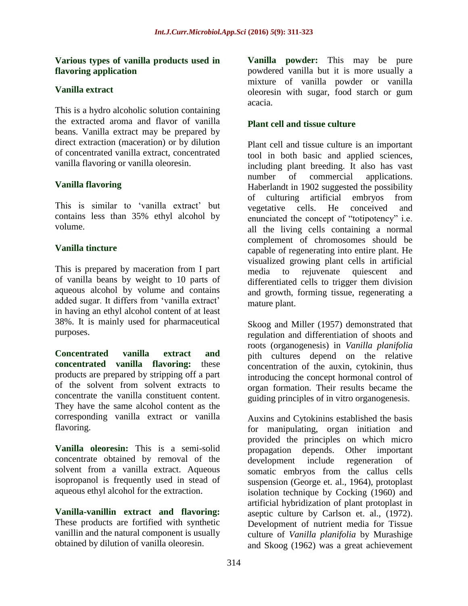#### **Various types of vanilla products used in flavoring application**

## **Vanilla extract**

This is a hydro alcoholic solution containing the extracted aroma and flavor of vanilla beans. Vanilla extract may be prepared by direct extraction (maceration) or by dilution of concentrated vanilla extract, concentrated vanilla flavoring or vanilla oleoresin.

## **Vanilla flavoring**

This is similar to 'vanilla extract' but contains less than 35% ethyl alcohol by volume.

## **Vanilla tincture**

This is prepared by maceration from I part of vanilla beans by weight to 10 parts of aqueous alcohol by volume and contains added sugar. It differs from "vanilla extract" in having an ethyl alcohol content of at least 38%. It is mainly used for pharmaceutical purposes.

**Concentrated vanilla extract and concentrated vanilla flavoring:** these products are prepared by stripping off a part of the solvent from solvent extracts to concentrate the vanilla constituent content. They have the same alcohol content as the corresponding vanilla extract or vanilla flavoring.

**Vanilla oleoresin:** This is a semi-solid concentrate obtained by removal of the solvent from a vanilla extract. Aqueous isopropanol is frequently used in stead of aqueous ethyl alcohol for the extraction.

**Vanilla-vanillin extract and flavoring:**  These products are fortified with synthetic vanillin and the natural component is usually obtained by dilution of vanilla oleoresin.

**Vanilla powder:** This may be pure powdered vanilla but it is more usually a mixture of vanilla powder or vanilla oleoresin with sugar, food starch or gum acacia.

### **Plant cell and tissue culture**

Plant cell and tissue culture is an important tool in both basic and applied sciences, including plant breeding. It also has vast number of commercial applications. Haberlandt in 1902 suggested the possibility of culturing artificial embryos from vegetative cells. He conceived and enunciated the concept of "totipotency" i.e. all the living cells containing a normal complement of chromosomes should be capable of regenerating into entire plant. He visualized growing plant cells in artificial media to rejuvenate quiescent and differentiated cells to trigger them division and growth, forming tissue, regenerating a mature plant.

Skoog and Miller (1957) demonstrated that regulation and differentiation of shoots and roots (organogenesis) in *Vanilla planifolia* pith cultures depend on the relative concentration of the auxin, cytokinin, thus introducing the concept hormonal control of organ formation. Their results became the guiding principles of in vitro organogenesis.

Auxins and Cytokinins established the basis for manipulating, organ initiation and provided the principles on which micro propagation depends. Other important development include regeneration of somatic embryos from the callus cells suspension (George et. al., 1964), protoplast isolation technique by Cocking (1960) and artificial hybridization of plant protoplast in aseptic culture by Carlson et. al., (1972). Development of nutrient media for Tissue culture of *Vanilla planifolia* by Murashige and Skoog (1962) was a great achievement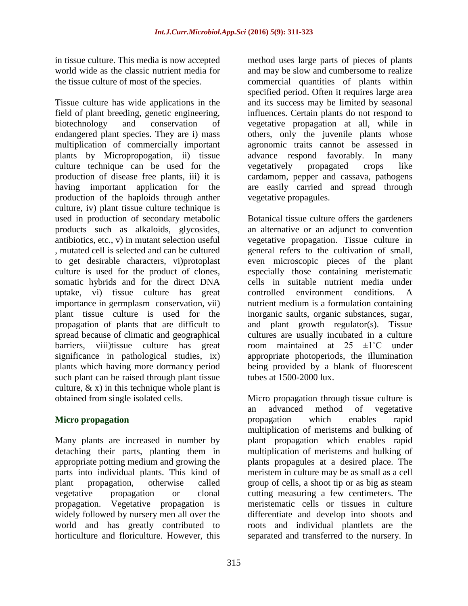in tissue culture. This media is now accepted world wide as the classic nutrient media for the tissue culture of most of the species.

Tissue culture has wide applications in the field of plant breeding, genetic engineering, biotechnology and conservation of endangered plant species. They are i) mass multiplication of commercially important plants by Micropropogation, ii) tissue culture technique can be used for the production of disease free plants, iii) it is having important application for the production of the haploids through anther culture, iv) plant tissue culture technique is used in production of secondary metabolic products such as alkaloids, glycosides, antibiotics, etc., v) in mutant selection useful , mutated cell is selected and can be cultured to get desirable characters, vi)protoplast culture is used for the product of clones, somatic hybrids and for the direct DNA uptake, vi) tissue culture has great importance in germplasm conservation, vii) plant tissue culture is used for the propagation of plants that are difficult to spread because of climatic and geographical barriers, viii)tissue culture has great significance in pathological studies, ix) plants which having more dormancy period such plant can be raised through plant tissue culture,  $\&$  x) in this technique whole plant is obtained from single isolated cells.

# **Micro propagation**

Many plants are increased in number by detaching their parts, planting them in appropriate potting medium and growing the parts into individual plants. This kind of plant propagation, otherwise called vegetative propagation or clonal propagation. Vegetative propagation is widely followed by nursery men all over the world and has greatly contributed to horticulture and floriculture. However, this

method uses large parts of pieces of plants and may be slow and cumbersome to realize commercial quantities of plants within specified period. Often it requires large area and its success may be limited by seasonal influences. Certain plants do not respond to vegetative propagation at all, while in others, only the juvenile plants whose agronomic traits cannot be assessed in advance respond favorably. In many vegetatively propagated crops like cardamom, pepper and cassava, pathogens are easily carried and spread through vegetative propagules.

Botanical tissue culture offers the gardeners an alternative or an adjunct to convention vegetative propagation. Tissue culture in general refers to the cultivation of small, even microscopic pieces of the plant especially those containing meristematic cells in suitable nutrient media under controlled environment conditions. A nutrient medium is a formulation containing inorganic saults, organic substances, sugar, and plant growth regulator(s). Tissue cultures are usually incubated in a culture room maintained at  $25 \pm 1^{\circ}$ C under appropriate photoperiods, the illumination being provided by a blank of fluorescent tubes at 1500-2000 lux.

Micro propagation through tissue culture is an advanced method of vegetative propagation which enables rapid multiplication of meristems and bulking of plant propagation which enables rapid multiplication of meristems and bulking of plants propagules at a desired place. The meristem in culture may be as small as a cell group of cells, a shoot tip or as big as steam cutting measuring a few centimeters. The meristematic cells or tissues in culture differentiate and develop into shoots and roots and individual plantlets are the separated and transferred to the nursery. In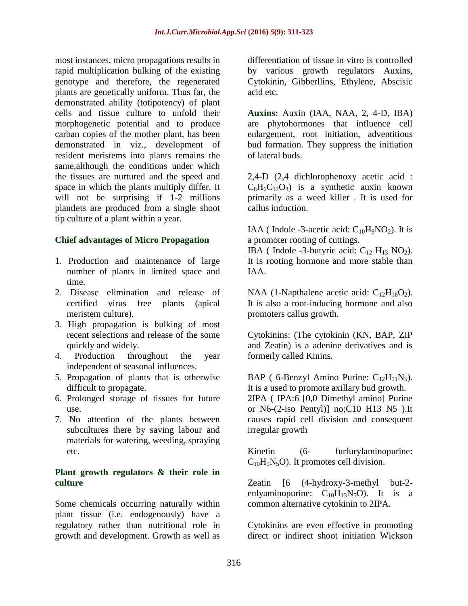most instances, micro propagations results in rapid multiplication bulking of the existing genotype and therefore, the regenerated plants are genetically uniform. Thus far, the demonstrated ability (totipotency) of plant cells and tissue culture to unfold their morphogenetic potential and to produce carban copies of the mother plant, has been demonstrated in viz., development of resident meristems into plants remains the same,although the conditions under which the tissues are nurtured and the speed and space in which the plants multiply differ. It will not be surprising if 1-2 millions plantlets are produced from a single shoot tip culture of a plant within a year.

#### **Chief advantages of Micro Propagation**

- 1. Production and maintenance of large number of plants in limited space and time.
- 2. Disease elimination and release of certified virus free plants (apical meristem culture).
- 3. High propagation is bulking of most recent selections and release of the some quickly and widely.
- 4. Production throughout the year independent of seasonal influences.
- 5. Propagation of plants that is otherwise difficult to propagate.
- 6. Prolonged storage of tissues for future use.
- 7. No attention of the plants between subcultures there by saving labour and materials for watering, weeding, spraying etc.

### **Plant growth regulators & their role in culture**

Some chemicals occurring naturally within plant tissue (i.e. endogenously) have a regulatory rather than nutritional role in growth and development. Growth as well as

differentiation of tissue in vitro is controlled by various growth regulators Auxins, Cytokinin, Gibberllins, Ethylene, Abscisic acid etc.

**Auxins:** Auxin (IAA, NAA, 2, 4-D, IBA) are phytohormones that influence cell enlargement, root initiation, adventitious bud formation. They suppress the initiation of lateral buds.

2,4-D (2,4 dichlorophenoxy acetic acid :  $C_8H_6C_{12}O_3$ ) is a synthetic auxin known primarily as a weed killer . It is used for callus induction.

IAA (Indole -3-acetic acid:  $C_{10}H_9NO_2$ ). It is a promoter rooting of cuttings.

IBA ( Indole -3-butyric acid:  $C_{12}$  H<sub>13</sub> NO<sub>2</sub>). It is rooting hormone and more stable than IAA.

NAA (1-Napthalene acetic acid:  $C_{12}H_{16}O_2$ ). It is also a root-inducing hormone and also promoters callus growth.

Cytokinins: (The cytokinin (KN, BAP, ZIP and Zeatin) is a adenine derivatives and is formerly called Kinins.

BAP ( 6-Benzyl Amino Purine:  $C_{12}H_{11}N_5$ ). It is a used to promote axillary bud growth. 2IPA ( IPA:6 [0,0 Dimethyl amino] Purine or N6-(2-iso Pentyl)] no;C10 H13 N5 ).It causes rapid cell division and consequent irregular growth

Kinetin (6- furfurylaminopurine:  $C_{10}H_9N_5O$ . It promotes cell division.

Zeatin [6 (4-hydroxy-3-methyl but-2 enlyaminopurine:  $C_{10}H_{13}N_5O$ . It is a common alternative cytokinin to 2IPA.

Cytokinins are even effective in promoting direct or indirect shoot initiation Wickson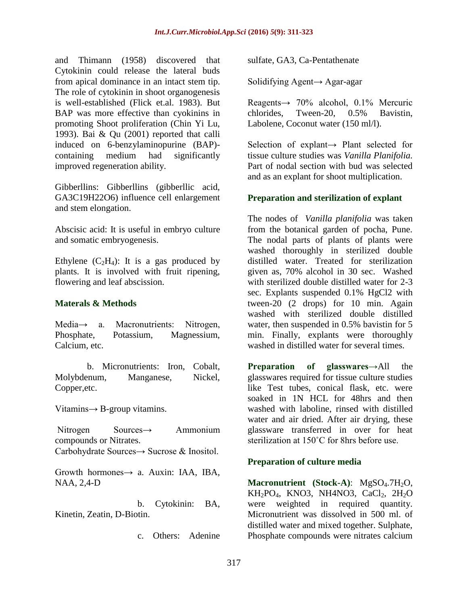and Thimann (1958) discovered that Cytokinin could release the lateral buds from apical dominance in an intact stem tip. The role of cytokinin in shoot organogenesis is well-established (Flick et.al. 1983). But BAP was more effective than cyokinins in promoting Shoot proliferation (Chin Yi Lu, 1993). Bai & Qu (2001) reported that calli induced on 6-benzylaminopurine (BAP) containing medium had significantly improved regeneration ability.

Gibberllins: Gibberllins (gibberllic acid, GA3C19H22O6) influence cell enlargement and stem elongation.

Abscisic acid: It is useful in embryo culture and somatic embryogenesis.

Ethylene  $(C_2H_4)$ : It is a gas produced by plants. It is involved with fruit ripening, flowering and leaf abscission.

### **Materals & Methods**

Media→ a. Macronutrients: Nitrogen, Phosphate, Potassium, Magnessium, Calcium, etc.

 b. Micronutrients: Iron, Cobalt, Molybdenum, Manganese, Nickel, Copper,etc.

Vitamins $\rightarrow$  B-group vitamins.

Nitrogen Sources→ Ammonium compounds or Nitrates. Carbohydrate Sources→ Sucrose & Inositol.

Growth hormones→ a. Auxin: IAA, IBA, NAA, 2,4-D

 b. Cytokinin: BA, Kinetin, Zeatin, D-Biotin.

c. Others: Adenine

sulfate, GA3, Ca-Pentathenate

Solidifying Agent→ Agar-agar

Reagents→ 70% alcohol, 0.1% Mercuric chlorides, Tween-20, 0.5% Bavistin, Labolene, Coconut water (150 ml/l).

Selection of explant→ Plant selected for tissue culture studies was *Vanilla Planifolia.* Part of nodal section with bud was selected and as an explant for shoot multiplication.

### **Preparation and sterilization of explant**

The nodes of *Vanilla planifolia* was taken from the botanical garden of pocha, Pune. The nodal parts of plants of plants were washed thoroughly in sterilized double distilled water. Treated for sterilization given as, 70% alcohol in 30 sec. Washed with sterilized double distilled water for 2-3 sec. Explants suspended 0.1% HgCl2 with tween-20 (2 drops) for 10 min. Again washed with sterilized double distilled water, then suspended in 0.5% bavistin for 5 min. Finally, explants were thoroughly washed in distilled water for several times.

**Preparation of glasswares→**All the glasswares required for tissue culture studies like Test tubes, conical flask, etc. were soaked in 1N HCL for 48hrs and then washed with laboline, rinsed with distilled water and air dried. After air drying, these glassware transferred in over for heat sterilization at 150˚C for 8hrs before use.

### **Preparation of culture media**

**Macronutrient** (Stock-A): MgSO<sub>4</sub>.7H<sub>2</sub>O,  $KH_2PO_4$ , KNO3, NH4NO3, CaCl<sub>2</sub>, 2H<sub>2</sub>O were weighted in required quantity. Micronutrient was dissolved in 500 ml. of distilled water and mixed together. Sulphate, Phosphate compounds were nitrates calcium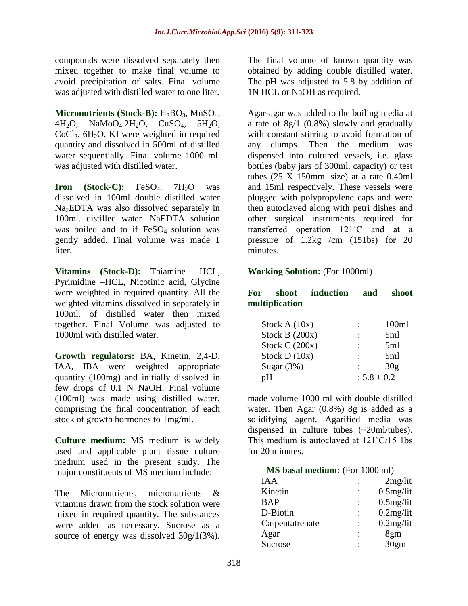compounds were dissolved separately then mixed together to make final volume to avoid precipitation of salts. Final volume was adjusted with distilled water to one liter.

**Micronutrients (Stock-B):** H<sub>3</sub>BO<sub>3</sub>, MnSO<sub>4</sub>. 4H<sub>2</sub>O, NaMoO<sub>4</sub>.2H<sub>2</sub>O, CuSO<sub>4</sub>, 5H<sub>2</sub>O,  $CoCl<sub>2</sub>$ , 6H<sub>2</sub>O, KI were weighted in required quantity and dissolved in 500ml of distilled water sequentially. Final volume 1000 ml. was adjusted with distilled water.

**Iron (Stock-C):** FeSO<sub>4</sub>, 7H<sub>2</sub>O was dissolved in 100ml double distilled water Na<sub>2</sub>EDTA was also dissolved separately in 100ml. distilled water. NaEDTA solution was boiled and to if  $FeSO<sub>4</sub>$  solution was gently added. Final volume was made 1 liter.

**Vitamins (Stock-D):** Thiamine –HCL, Pyrimidine –HCL, Nicotinic acid, Glycine were weighted in required quantity. All the weighted vitamins dissolved in separately in 100ml. of distilled water then mixed together. Final Volume was adjusted to 1000ml with distilled water.

**Growth regulators:** BA, Kinetin, 2,4-D, IAA, IBA were weighted appropriate quantity (100mg) and initially dissolved in few drops of 0.1 N NaOH. Final volume (100ml) was made using distilled water, comprising the final concentration of each stock of growth hormones to 1mg/ml.

**Culture medium:** MS medium is widely used and applicable plant tissue culture medium used in the present study. The major constituents of MS medium include:

The Micronutrients, micronutrients & vitamins drawn from the stock solution were mixed in required quantity. The substances were added as necessary. Sucrose as a source of energy was dissolved 30g/1(3%).

The final volume of known quantity was obtained by adding double distilled water. The pH was adjusted to 5.8 by addition of 1N HCL or NaOH as required.

Agar-agar was added to the boiling media at a rate of 8g/1 (0.8%) slowly and gradually with constant stirring to avoid formation of any clumps. Then the medium was dispensed into cultured vessels, i.e. glass bottles (baby jars of 300ml. capacity) or test tubes  $(25 \text{ X } 150 \text{mm})$ . size) at a rate 0.40ml and 15ml respectively. These vessels were plugged with polypropylene caps and were then autoclaved along with petri dishes and other surgical instruments required for transferred operation 121˚C and at a pressure of 1.2kg /cm (151bs) for 20 minutes.

#### **Working Solution:** (For 1000ml)

### **For shoot induction and shoot multiplication**

| Stock $A(10x)$   | ٠                    | 100ml |
|------------------|----------------------|-------|
| Stock B $(200x)$ | ٠                    | 5ml   |
| Stock C $(200x)$ | $\ddot{\cdot}$       | 5ml   |
| Stock $D(10x)$   | $\ddot{\phantom{a}}$ | 5ml   |
| Sugar $(3%)$     |                      | 30g   |
| pH               | $: 5.8 \pm 0.2$      |       |

made volume 1000 ml with double distilled water. Then Agar (0.8%) 8g is added as a solidifying agent. Agarified media was dispensed in culture tubes (~20ml/tubes). This medium is autoclaved at 121˚C/15 1bs for 20 minutes.

**MS** basal medium: (For 1000 ml)

| IAA             | 2mg/lit      |
|-----------------|--------------|
| Kinetin         | $0.5$ mg/lit |
| <b>BAP</b>      | $0.5$ mg/lit |
| D-Biotin        | $0.2$ mg/lit |
| Ca-pentatrenate | $0.2$ mg/lit |
| Agar            | 8gm          |
| Sucrose         | 30gm         |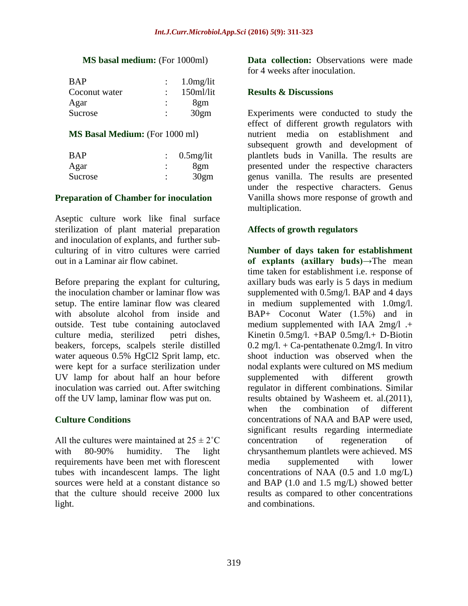#### **MS** basal medium: (For 1000ml)

| <b>BAP</b>    |   | $1.0$ mg/lit |
|---------------|---|--------------|
| Coconut water |   | 150ml/lit    |
| Agar          |   | 8gm          |
| Sucrose       | ٠ | 30gm         |

#### **MS Basal Medium:** (For 1000 ml)

| <b>BAP</b> |           | $\therefore$ 0.5 mg/lit |
|------------|-----------|-------------------------|
| Agar       | $\bullet$ | 8gm                     |
| Sucrose    |           | 30gm                    |

#### **Preparation of Chamber for inoculation**

Aseptic culture work like final surface sterilization of plant material preparation and inoculation of explants, and further subculturing of in vitro cultures were carried out in a Laminar air flow cabinet.

Before preparing the explant for culturing, the inoculation chamber or laminar flow was setup. The entire laminar flow was cleared with absolute alcohol from inside and outside. Test tube containing autoclaved culture media, sterilized petri dishes, beakers, forceps, scalpels sterile distilled water aqueous 0.5% HgCl2 Sprit lamp, etc. were kept for a surface sterilization under UV lamp for about half an hour before inoculation was carried out. After switching off the UV lamp, laminar flow was put on.

### **Culture Conditions**

All the cultures were maintained at  $25 \pm 2^{\circ}$ C with 80-90% humidity. The light requirements have been met with florescent tubes with incandescent lamps. The light sources were held at a constant distance so that the culture should receive 2000 lux light.

**Data collection:** Observations were made for 4 weeks after inoculation.

#### **Results & Discussions**

Experiments were conducted to study the effect of different growth regulators with nutrient media on establishment and subsequent growth and development of plantlets buds in Vanilla. The results are presented under the respective characters genus vanilla. The results are presented under the respective characters. Genus Vanilla shows more response of growth and multiplication.

#### **Affects of growth regulators**

**Number of days taken for establishment of explants (axillary buds)→**The mean time taken for establishment i.e. response of axillary buds was early is 5 days in medium supplemented with 0.5mg/l. BAP and 4 days in medium supplemented with 1.0mg/l. BAP+ Coconut Water (1.5%) and in medium supplemented with IAA 2mg/l .+ Kinetin 0.5mg/l. +BAP 0.5mg/l.+ D-Biotin  $0.2 \text{ mg/l.} + \text{Ca-}$  pentathenate  $0.2 \text{mg/l.}$  In vitro shoot induction was observed when the nodal explants were cultured on MS medium supplemented with different growth regulator in different combinations. Similar results obtained by Washeem et. al.(2011), when the combination of different concentrations of NAA and BAP were used, significant results regarding intermediate concentration of regeneration of chrysanthemum plantlets were achieved. MS media supplemented with lower concentrations of NAA (0.5 and 1.0 mg/L) and BAP (1.0 and 1.5 mg/L) showed better results as compared to other concentrations and combinations.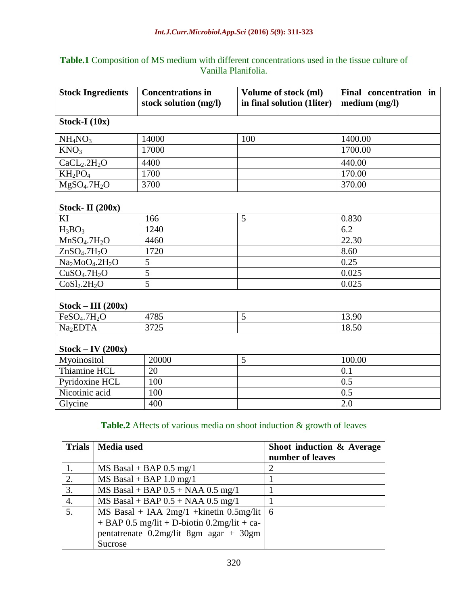# **Table.1** Composition of MS medium with different concentrations used in the tissue culture of Vanilla Planifolia.

| <b>Stock Ingredients</b>                            | <b>Concentrations in</b><br>stock solution (mg/l) | Volume of stock (ml)<br>in final solution (1liter) | Final concentration in<br>median (mg/l) |
|-----------------------------------------------------|---------------------------------------------------|----------------------------------------------------|-----------------------------------------|
| Stock-I $(10x)$                                     |                                                   |                                                    |                                         |
| NH <sub>4</sub> NO <sub>3</sub>                     | 14000                                             | 100                                                | 1400.00                                 |
| KNO <sub>3</sub>                                    | 17000                                             |                                                    | 1700.00                                 |
| CaCL <sub>2</sub> .2H <sub>2</sub> O                | 4400                                              |                                                    | 440.00                                  |
| $KH_2PO_4$                                          | 1700                                              |                                                    | 170.00                                  |
| MgSO <sub>4</sub> .7H <sub>2</sub> O                | 3700                                              |                                                    | 370.00                                  |
|                                                     |                                                   |                                                    |                                         |
| <b>Stock- II</b> (200x)                             |                                                   |                                                    |                                         |
| KI                                                  | 166                                               | 5                                                  | 0.830                                   |
| $H_3BO_3$                                           | 1240                                              |                                                    | 6.2                                     |
| MnSO <sub>4</sub> .7H <sub>2</sub> O                | 4460                                              |                                                    | 22.30                                   |
| ZnSO <sub>4</sub> .7H <sub>2</sub> O                | 1720                                              |                                                    | 8.60                                    |
| Na <sub>2</sub> MoO <sub>4</sub> .2H <sub>2</sub> O | 5                                                 |                                                    | 0.25                                    |
| CuSO <sub>4</sub> .7H <sub>2</sub> O                | $\overline{5}$                                    |                                                    | 0.025                                   |
| CoSl <sub>2</sub> .2H <sub>2</sub> O                | $\overline{5}$                                    |                                                    | 0.025                                   |
| $Stock - III (200x)$                                |                                                   |                                                    |                                         |
| FeSO <sub>4</sub> .7H <sub>2</sub> O                | 4785                                              | 5                                                  | 13.90                                   |
| Na <sub>2</sub> EDTA                                | 3725                                              |                                                    | 18.50                                   |
| $Stock - IV(200x)$                                  |                                                   |                                                    |                                         |
| Myoinositol                                         | 20000                                             | 5                                                  | 100.00                                  |
| Thiamine HCL                                        | 20                                                |                                                    | 0.1                                     |
| Pyridoxine HCL                                      | 100                                               |                                                    | 0.5                                     |
| Nicotinic acid                                      | 100                                               |                                                    | 0.5                                     |
| Glycine                                             | 400                                               |                                                    | 2.0                                     |

# Table.2 Affects of various media on shoot induction & growth of leaves

|                  | Trials   Media used                           | Shoot induction & Average |
|------------------|-----------------------------------------------|---------------------------|
|                  |                                               | number of leaves          |
|                  | $MS$ Basal + BAP 0.5 mg/1                     | 7                         |
| 2.               | $MS$ Basal + BAP 1.0 mg/1                     |                           |
| 3.               | $MS$ Basal + BAP $0.5$ + NAA $0.5$ mg/1       |                           |
| $\overline{4}$ . | $MS$ Basal + BAP $0.5$ + NAA $0.5$ mg/1       |                           |
| 5.               | MS Basal + IAA $2mg/1$ + kinetin 0.5mg/lit 6  |                           |
|                  | $+$ BAP 0.5 mg/lit + D-biotin 0.2mg/lit + ca- |                           |
|                  | pentatrenate $0.2$ mg/lit 8gm agar + 30gm     |                           |
|                  | Sucrose                                       |                           |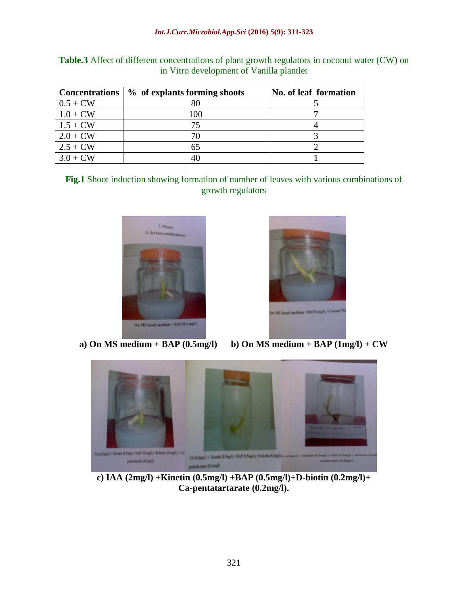|            | Concentrations   % of explants forming shoots | No. of leaf formation |
|------------|-----------------------------------------------|-----------------------|
| $0.5 + CW$ | 80                                            |                       |
| $1.0 + CW$ | 100                                           |                       |
| $1.5 + CW$ | 75                                            |                       |
| $2.0 + CW$ |                                               |                       |
| $2.5 + CW$ | 65                                            |                       |
| $3.0 + CW$ |                                               |                       |

**Table.3** Affect of different concentrations of plant growth regulators in coconut water (CW) on in Vitro development of Vanilla plantlet

**Fig.1** Shoot induction showing formation of number of leaves with various combinations of growth regulators



a) On MS medium + BAP  $(0.5mg/l)$ 



**b)** On MS medium +  $BAP$  (1mg/l) + CW



**c) IAA (2mg/l) +Kinetin (0.5mg/l) +BAP (0.5mg/l)+D-biotin (0.2mg/l)+ Ca-pentatartarate (0.2mg/l).**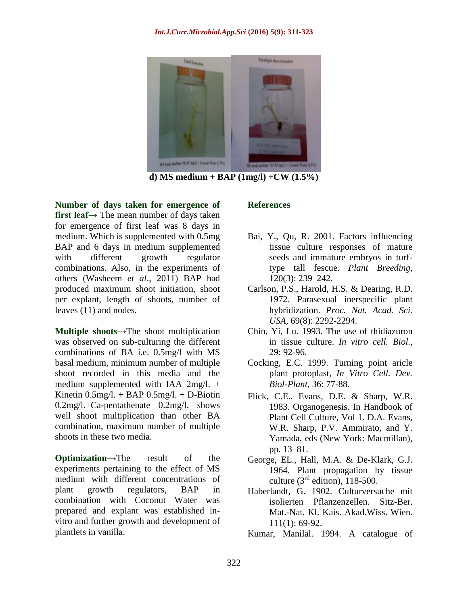

**d) MS medium + BAP (1mg/l) +CW (1.5%)**

**Number of days taken for emergence of first leaf→** The mean number of days taken for emergence of first leaf was 8 days in medium. Which is supplemented with 0.5mg BAP and 6 days in medium supplemented with different growth regulator combinations. Also, in the experiments of others (Washeem *et al*., 2011) BAP had produced maximum shoot initiation, shoot per explant, length of shoots, number of leaves (11) and nodes.

**Multiple shoots→**The shoot multiplication was observed on sub-culturing the different combinations of BA i.e. 0.5mg/l with MS basal medium, minimum number of multiple shoot recorded in this media and the medium supplemented with IAA 2mg/l. + Kinetin  $0.5$ mg/l. + BAP  $0.5$ mg/l. + D-Biotin 0.2mg/l.+Ca-pentathenate 0.2mg/l. shows well shoot multiplication than other BA combination, maximum number of multiple shoots in these two media.

**Optimization→**The result of the experiments pertaining to the effect of MS medium with different concentrations of plant growth regulators, BAP in combination with Coconut Water was prepared and explant was established invitro and further growth and development of plantlets in vanilla.

## **References**

- Bai, Y., Qu, R. 2001. Factors influencing tissue culture responses of mature seeds and immature embryos in turftype tall fescue. *Plant Breeding,* 120(3): 239–242.
- Carlson, P.S., Harold, H.S. & Dearing, R.D. 1972. Parasexual inerspecific plant hybridization. *Proc. Nat. Acad. Sci. USA,* 69(8): 2292-2294.
- Chin, Yi, Lu. 1993. The use of thidiazuron in tissue culture. *In vitro cell. Biol.,* 29: 92-96.
- Cocking, E.C. 1999. Turning point aricle plant protoplast, *In Vitro Cell. Dev. Biol-Plant,* 36: 77-88.
- Flick, C.E., Evans, D.E. & Sharp, W.R. 1983. Organogenesis. In Handbook of Plant Cell Culture, Vol 1. D.A. Evans, W.R. Sharp, P.V. Ammirato, and Y. Yamada, eds (New York: Macmillan), pp. 13–81.
- George, EL., Hall, M.A. & De-Klark, G.J. 1964. Plant propagation by tissue culture  $(3<sup>rd</sup>$  edition), 118-500.
- Haberlandt, G. 1902. Culturversuche mit isolierten Pflanzenzellen. Sitz-Ber. Mat.-Nat. Kl. Kais. Akad.Wiss. Wien. 111(1): 69-92.
- Kumar, Manilal. 1994. A catalogue of